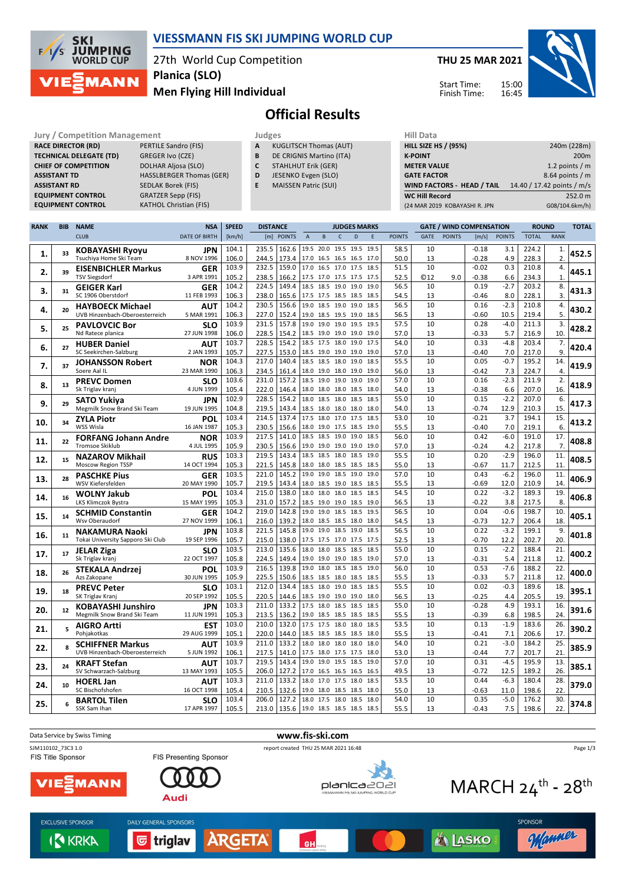

### **VIESSMANN FIS SKI JUMPING WORLD CUP**

27th World Cup Competition **Planica (SLO)**

**THU 25 MAR 2021**

Start Time: Finish Time:



**Men Flying Hill Individual**

# **Official Results**

**Jury / Competition Management Management All Data** Judges **Hill Data RACE DIRECTOR (RD)** PERTILE Sandro (FIS) **TECHNICAL DELEGATE (TD)** GREGER Ivo (CZE) **CHIEF OF COMPETITION** DOLHAR Aljosa (SLO) **ASSISTANT RD** SEDLAK Borek (FIS)

**ASSISTANT TD** HASSLBERGER Thomas (GER) **EQUIPMENT CONTROL** GRATZER Sepp (FIS)<br> **EQUIPMENT CONTROL** KATHOL Christian (F **KATHOL Christian (FIS)** 

**A** KUGLITSCH Thomas (AUT)

- **B** DE CRIGNIS Martino (ITA)
- **C** STAHLHUT Erik (GER)
- **D** JESENKO Evgen (SLO) **E** MAISSEN Patric (SUI)
- **K-POINT** 200m **METER VALUE** 1.2 points / m

| .                             | $1.2$ points $1.11$        |
|-------------------------------|----------------------------|
| <b>GATE FACTOR</b>            | $8.64$ points / m          |
| WIND FACTORS -  HEAD / TAIL   | 14.40 / 17.42 points / m/s |
| WC Hill Record                | 252.0 m                    |
| (24 MAR 2019 KOBAYASHI R. JPN | G08/104.6km/h)             |

**HILL SIZE HS / (95%)** 240m (228m)

15:00

| <b>RANK</b> | <b>BIB</b> | <b>NAME</b>                                       | <b>NSA</b>               | <b>SPEED</b>   | <b>DISTANCE</b> |                |                                            |      |                | <b>JUDGES MARKS</b>      |              |               |             | <b>GATE / WIND COMPENSATION</b> |                 |                | <b>ROUND</b>   |                      | <b>TOTAL</b> |
|-------------|------------|---------------------------------------------------|--------------------------|----------------|-----------------|----------------|--------------------------------------------|------|----------------|--------------------------|--------------|---------------|-------------|---------------------------------|-----------------|----------------|----------------|----------------------|--------------|
|             |            | <b>CLUB</b>                                       | <b>DATE OF BIRTH</b>     | [km/h]         | [m]             | <b>POINTS</b>  | $\overline{A}$                             | B    | $\mathsf{C}$   | D                        | E            | <b>POINTS</b> | <b>GATE</b> | <b>POINTS</b>                   | [m/s]           | <b>POINTS</b>  | <b>TOTAL</b>   | <b>RANK</b>          |              |
|             |            | KOBAYASHI Ryoyu                                   | JPN                      | 104.1          | 235.5           | 162.6          | 19.5 20.0 19.5 19.5                        |      |                |                          | 19.5         | 58.5          | 10          |                                 | $-0.18$         | 3.1            | 224.2          | 1.                   |              |
| 1.          | 33         | Tsuchiya Home Ski Team                            | 8 NOV 1996               | 106.0          | 244.5           | 173.4          | 17.0 16.5 16.5 16.5                        |      |                |                          | 17.0         | 50.0          | 13          |                                 | $-0.28$         | 4.9            | 228.3          | 2.                   | 452.5        |
|             |            | <b>EISENBICHLER Markus</b>                        | <b>GER</b>               | 103.9          | 232.5           | 159.0          | 17.0 16.5 17.0 17.5                        |      |                |                          | 18.5         | 51.5          | 10          |                                 | $-0.02$         | 0.3            | 210.8          | 4.                   |              |
| 2.          | 39         | <b>TSV Siegsdorf</b>                              | 3 APR 1991               | 105.2          | 238.5           | 166.2          | 17.5 17.0 17.5 17.5                        |      |                |                          | 17.5         | 52.5          | ©12         | 9.0                             | $-0.38$         | 6.6            | 234.3          | 1.                   | 445.1        |
|             |            | <b>GEIGER Karl</b>                                | <b>GER</b>               | 104.2          | 224.5           | 149.4          | 18.5 18.5 19.0 19.0                        |      |                |                          | 19.0         | 56.5          | 10          |                                 | 0.19            | $-2.7$         | 203.2          | 8.                   |              |
| 3.          | 31         | SC 1906 Oberstdorf                                | 11 FEB 1993              | 106.3          | 238.0           | 165.6          | 17.5 17.5 18.5 18.5                        |      |                |                          | 18.5         | 54.5          | 13          |                                 | $-0.46$         | 8.0            | 228.1          | 3.                   | 431.3        |
| 4.          | 20         | <b>HAYBOECK Michael</b>                           | AUT                      | 104.2          | 230.5           | 156.6          | 19.0 18.5 19.0 19.0                        |      |                |                          | 18.5         | 56.5          | 10          |                                 | 0.16            | $-2.3$         | 210.8          | 4.                   | 430.2        |
|             |            | UVB Hinzenbach-Oberoesterreich                    | 5 MAR 1991               | 106.3          | 227.0           | 152.4          | 19.0 18.5 19.5 19.0                        |      |                |                          | 18.5         | 56.5          | 13          |                                 | $-0.60$         | 10.5           | 219.4          | 5.                   |              |
| 5.          | 25         | <b>PAVLOVCIC Bor</b>                              | SLO                      | 103.9          | 231.5           | 157.8          | 19.0 19.0 19.0 19.5                        |      |                |                          | 19.5         | 57.5          | 10          |                                 | 0.28            | $-4.0$         | 211.3          | 3.                   | 428.2        |
|             |            | Nd Ratece planica                                 | 27 JUN 1998              | 106.0          | 228.5           | 154.2          | 18.5 19.0 19.0 19.0                        |      |                |                          | 19.0         | 57.0          | 13          |                                 | $-0.33$         | 5.7            | 216.9          | 10                   |              |
| 6.          | 27         | <b>HUBER Daniel</b>                               | AUT                      | 103.7          | 228.5           | 154.2          | 18.5 17.5 18.0                             |      |                | 19.0                     | 17.5         | 54.0          | 10          |                                 | 0.33            | $-4.8$         | 203.4          | 7.                   | 420.4        |
|             |            | SC Seekirchen-Salzburg                            | 2 JAN 1993               | 105.7          | 227.5           | 153.0          | 18.5 19.0 19.0 19.0                        |      |                |                          | 19.0         | 57.0          | 13          |                                 | $-0.40$         | 7.0            | 217.0          | 9                    |              |
| 7.          | 37         | <b>JOHANSSON Robert</b>                           | <b>NOR</b>               | 104.3          | 217.0           | 140.4          | 18.5 18.5                                  |      | 18.0           | 19.0                     | 18.5         | 55.5          | 10          |                                 | 0.05            | $-0.7$         | 195.2          | 14.                  | 419.9        |
|             |            | Soere Aal IL                                      | 23 MAR 1990              | 106.3<br>103.6 | 234.5<br>231.0  | 161.4<br>157.2 | 18.0 19.0 18.0 19.0<br>18.5 19.0 19.0 19.0 |      |                |                          | 19.0         | 56.0<br>57.0  | 13<br>10    |                                 | $-0.42$<br>0.16 | 7.3<br>$-2.3$  | 224.7<br>211.9 | $\overline{4}$<br>2. |              |
| 8.          | 13         | <b>PREVC Domen</b><br>Sk Triglav kranj            | <b>SLO</b><br>4 JUN 1999 | 105.4          | 222.0           | 146.4          | 18.0 18.0 18.0 18.5                        |      |                |                          | 19.0<br>18.0 | 54.0          | 13          |                                 | $-0.38$         | 6.6            | 207.0          | 16.                  | 418.9        |
|             |            |                                                   |                          | 102.9          | 228.5           | 154.2          | 18.0 18.5 18.0 18.5                        |      |                |                          | 18.5         | 55.0          | 10          |                                 | 0.15            | $-2.2$         | 207.0          | 6.                   |              |
| 9.          | 29         | <b>SATO Yukiya</b><br>Megmilk Snow Brand Ski Team | JPN<br>19 JUN 1995       | 104.8          | 219.5           | 143.4          |                                            |      |                | 18.5 18.0 18.0 18.0 18.0 |              | 54.0          | 13          |                                 | $-0.74$         | 12.9           | 210.3          | 15                   | 417.3        |
|             |            | <b>ZYLA Piotr</b>                                 | <b>POL</b>               | 103.4          | 214.5           | 137.4          | 17.5 18.0 17.0 17.5                        |      |                |                          | 18.5         | 53.0          | 10          |                                 | $-0.21$         | 3.7            | 194.1          | 15.                  |              |
| 10.         | 34         | WSS Wisla                                         | 16 JAN 1987              | 105.3          | 230.5           | 156.6          | 18.0 19.0 17.5 18.5                        |      |                |                          | 19.0         | 55.5          | 13          |                                 | $-0.40$         | 7.0            | 219.1          | 6.                   | 413.2        |
|             |            | <b>FORFANG Johann Andre</b>                       | <b>NOR</b>               | 103.9          | 217.5           | 141.0          | 18.5 18.5 19.0 19.0                        |      |                |                          | 18.5         | 56.0          | 10          |                                 | 0.42            | $-6.0$         | 191.0          | 17.                  |              |
| 11.         | 22         | <b>Tromsoe Skiklub</b>                            | 4 JUL 1995               | 105.9          | 230.5           | 156.6          | 19.0 19.0 19.0 19.0                        |      |                |                          | 19.0         | 57.0          | 13          |                                 | $-0.24$         | 4.2            | 217.8          | 7.                   | 408.8        |
|             |            | <b>NAZAROV Mikhail</b>                            | <b>RUS</b>               | 103.3          | 219.5           | 143.4          | 18.5                                       | 18.5 | 18.0           | 18.5                     | 19.0         | 55.5          | 10          |                                 | 0.20            | $-2.9$         | 196.0          | 11.                  |              |
| 12.         | 15         | Moscow Region TSSP                                | 14 OCT 1994              | 105.3          | 221.5           | 145.8          | 18.0 18.0 18.5 18.5                        |      |                |                          | 18.5         | 55.0          | 13          |                                 | $-0.67$         | 11.7           | 212.5          | 11.                  | 408.5        |
| 13.         | 28         | <b>PASCHKE Pius</b>                               | <b>GER</b>               | 103.5          | 221.0           | 145.2          | 19.0                                       | 19.0 | 18.5           | 19.0                     | 19.0         | 57.0          | 10          |                                 | 0.43            | $-6.2$         | 196.0          | 11.                  | 406.9        |
|             |            | WSV Kiefersfelden                                 | 20 MAY 1990              | 105.7          | 219.5           | 143.4          | 18.0 18.5                                  |      | 19.0 18.5      |                          | 18.5         | 55.5          | 13          |                                 | $-0.69$         | 12.0           | 210.9          | 14.                  |              |
| 14.         | 16         | <b>WOLNY Jakub</b>                                | POL                      | 103.4          | 215.0           | 138.0          | 18.0 18.0 18.0 18.5                        |      |                |                          | 18.5         | 54.5          | 10          |                                 | 0.22            | $-3.2$         | 189.3          | 19                   | 406.8        |
|             |            | LKS Klimczok Bystra                               | 15 MAY 1995              | 105.3          | 231.0           | 157.2          | 18.5 19.0 19.0 18.5                        |      |                |                          | 19.0         | 56.5          | 13          |                                 | $-0.22$         | 3.8            | 217.5          | 8                    |              |
| 15.         | 14         | <b>SCHMID Constantin</b>                          | <b>GER</b>               | 104.2          | 219.0           | 142.8          | 19.0 19.0 18.5 18.5                        |      |                |                          | 19.5         | 56.5          | 10          |                                 | 0.04            | $-0.6$         | 198.7          | 10.                  | 405.1        |
|             |            | Wsv Oberaudorf                                    | 27 NOV 1999              | 106.1          | 216.0           | 139.2          | 18.0 18.5 18.5 18.0                        |      |                |                          | 18.0         | 54.5          | 13          |                                 | $-0.73$         | 12.7           | 206.4          | 18                   |              |
| 16.         | 11         | <b>NAKAMURA Naoki</b>                             | JPN                      | 103.8          | 221.5           | 145.8          | 19.0 19.0 18.5 19.0                        |      |                |                          | 18.5         | 56.5          | 10          |                                 | 0.22            | $-3.2$         | 199.1          | 9.                   | 401.8        |
|             |            | Tokai University Sapporo Ski Club                 | 19 SEP 1996              | 105.7<br>103.5 | 215.0<br>213.0  | 138.0<br>135.6 | 17.5 17.5 17.0 17.5<br>18.0 18.0           |      | 18.5 18.5      |                          | 17.5<br>18.5 | 52.5<br>55.0  | 13<br>10    |                                 | $-0.70$<br>0.15 | 12.2<br>$-2.2$ | 202.7<br>188.4 | 20<br>21.            |              |
| 17.         | 17         | <b>JELAR Ziga</b><br>Sk Triglav kranj             | SLO<br>22 OCT 1997       | 105.8          | 224.5           | 149.4          | 19.0 19.0 19.0 18.5                        |      |                |                          | 19.0         | 57.0          | 13          |                                 | $-0.31$         | 5.4            | 211.8          | 12                   | 400.2        |
|             |            |                                                   | POL                      | 103.9          | 216.5           | 139.8          | 19.0 18.0 18.5 18.5                        |      |                |                          | 19.0         | 56.0          | 10          |                                 | 0.53            | $-7.6$         | 188.2          | 22.                  |              |
| 18.         | 26         | <b>STEKALA Andrzej</b><br>Azs Zakopane            | 30 JUN 1995              | 105.9          | 225.5           | 150.6          | 18.5 18.5 18.0 18.5                        |      |                |                          | 18.5         | 55.5          | 13          |                                 | $-0.33$         | 5.7            | 211.8          | 12.                  | 400.0        |
|             |            | <b>PREVC Peter</b>                                | SLO                      | 103.1          | 212.0           | 134.4          | 18.5 18.0                                  |      | 19.0 18.5      |                          | 18.5         | 55.5          | 10          |                                 | 0.02            | $-0.3$         | 189.6          | 18                   |              |
| 19.         | 18         | SK Triglav Kranj                                  | 20 SEP 1992              | 105.5          | 220.5           | 144.6          | 18.5 19.0                                  |      | 19.0 19.0      |                          | 18.0         | 56.5          | 13          |                                 | $-0.25$         | 4.4            | 205.5          | 19                   | 395.1        |
|             |            | <b>KOBAYASHI Junshiro</b>                         | JPN                      | 103.3          | 211.0           | 133.2          | 17.5 18.0                                  |      | 18.5           | 18.5                     | 18.5         | 55.0          | 10          |                                 | $-0.28$         | 4.9            | 193.1          | 16.                  |              |
| 20.         | 12         | Megmilk Snow Brand Ski Team                       | 11 JUN 1991              | 105.3          | 213.5           | 136.2          | 19.0 18.5                                  |      | 18.5 18.5      |                          | 18.5         | 55.5          | 13          |                                 | $-0.39$         | 6.8            | 198.5          | 24                   | 391.6        |
| 21.         | 5          | <b>AIGRO Artti</b>                                | <b>EST</b>               | 103.0          | 210.0           | 132.0          | 17.5 17.5 18.0 18.0                        |      |                |                          | 18.5         | 53.5          | 10          |                                 | 0.13            | $-1.9$         | 183.6          | 26                   | 390.2        |
|             |            | Pohjakotkas                                       | 29 AUG 1999              | 105.1          | 220.0           | 144.0          | 18.5 18.5 18.5 18.5                        |      |                |                          | 18.0         | 55.5          | 13          |                                 | $-0.41$         | 7.1            | 206.6          | 17                   |              |
| 22.         | 8          | <b>SCHIFFNER Markus</b>                           | <b>AUT</b>               | 103.9          | 211.0           | 133.2          | 18.0 18.0 18.0 18.0                        |      |                |                          | 18.0         | 54.0          | 10          |                                 | 0.21            | $-3.0$         | 184.2          | 25.                  | 385.9        |
|             |            | UVB Hinzenbach-Oberoesterreich                    | 5 JUN 1992               | 106.1          | 217.5           | 141.0          | 17.5 18.0 17.5 17.5                        |      |                |                          | 18.0         | 53.0          | 13          |                                 | $-0.44$         | 7.7            | 201.7          | 21.                  |              |
| 23.         | 24         | <b>KRAFT Stefan</b>                               | AUT                      | 103.7          | 219.5           | 143.4          | 19.0                                       |      | 19.0 19.5 18.5 |                          | 19.0         | 57.0          | 10          |                                 | 0.31            | $-4.5$         | 195.9          | 13.                  | 385.1        |
|             |            | SV Schwarzach-Salzburg                            | 13 MAY 1993              | 105.5          | 206.0           | 127.2          | 17.0 16.5 16.5 16.5                        |      |                |                          | 16.5         | 49.5          | 13          |                                 | $-0.72$         | 12.5           | 189.2          | 26.                  |              |
| 24.         | 10         | <b>HOERL Jan</b>                                  | AUT                      | 103.3          | 211.0           | 133.2          | 18.0 17.0 17.5 18.0                        |      |                |                          | 18.5         | 53.5          | 10          |                                 | 0.44            | $-6.3$         | 180.4          | 28.                  | 379.0        |
|             |            | SC Bischofshofen                                  | 16 OCT 1998              | 105.4          | 210.5<br>206.0  | 132.6<br>127.2 | 19.0 18.0 18.5 18.5                        |      |                |                          | 18.0         | 55.0<br>54.0  | 13<br>10    |                                 | $-0.63$<br>0.35 | 11.0<br>$-5.0$ | 198.6          | 22<br>30.            |              |
| 25.         | 6          | <b>BARTOL Tilen</b>                               | SLO<br>17 APR 1997       | 103.4<br>105.5 | 213.0           | 135.6          | 18.0 17.5 18.0 18.5<br>19.0 18.5 18.5 18.5 |      |                |                          | 18.0<br>18.5 | 55.5          | 13          |                                 | $-0.43$         | 7.5            | 176.2<br>198.6 | 22.                  | 374.8        |
|             |            | SSK Sam Ihan                                      |                          |                |                 |                |                                            |      |                |                          |              |               |             |                                 |                 |                |                |                      |              |

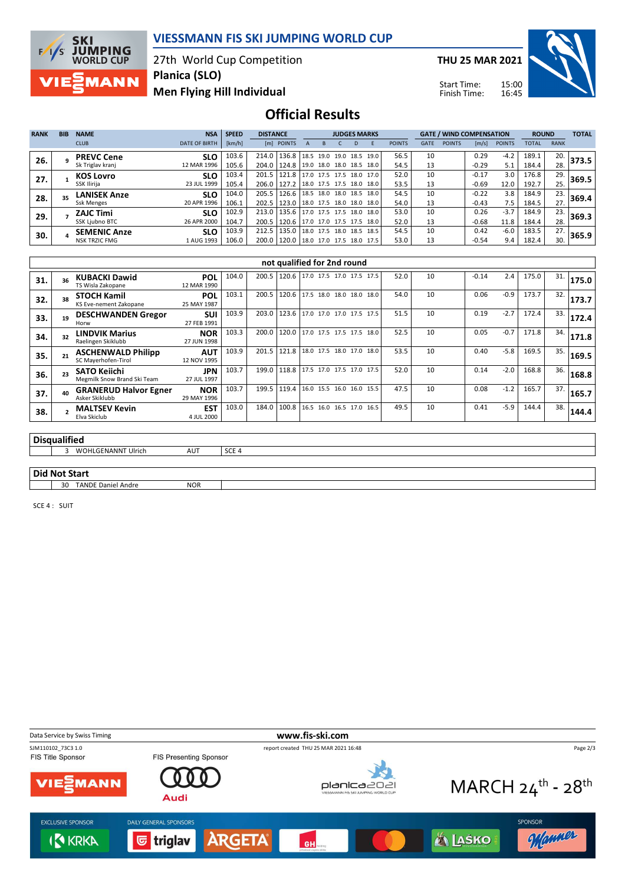

#### **VIESSMANN FIS SKI JUMPING WORLD CUP**

27th World Cup Competition **Planica (SLO)**

**Men Flying Hill Individual**

**THU 25 MAR 2021**

Start Time: Finish Time:



## **Official Results**

| <b>RANK</b> | <b>BIB</b> | <b>NAME</b>          | <b>NSA</b>           | <b>SPEED</b> | <b>DISTANCE</b> |                                |                          | <b>JUDGES MARKS</b> |      |                          |               |             | <b>GATE / WIND COMPENSATION</b> |         |               | <b>ROUND</b> |             | <b>TOTAL</b> |
|-------------|------------|----------------------|----------------------|--------------|-----------------|--------------------------------|--------------------------|---------------------|------|--------------------------|---------------|-------------|---------------------------------|---------|---------------|--------------|-------------|--------------|
|             |            | <b>CLUB</b>          | <b>DATE OF BIRTH</b> | [km/h]       |                 | [m] POINTS                     |                          |                     | D    |                          | <b>POINTS</b> | <b>GATE</b> | <b>POINTS</b>                   | [m/s]   | <b>POINTS</b> | <b>TOTAL</b> | <b>RANK</b> |              |
| 26.         |            | <b>PREVC Cene</b>    | <b>SLO</b>           | 103.6        | 214.0           | 136.8                          | 18.5 19.0                | 19.0 18.5           |      | 19.0                     | 56.5          | 10          |                                 | 0.29    | $-4.2$        | 189.1        | 20.         | 373.5        |
|             |            | Sk Triglav kranj     | 12 MAR 1996          | 105.6        | 204.0           | 124.8 19.0 18.0 18.0           |                          |                     | 18.5 | 18.0                     | 54.5          | 13          |                                 | $-0.29$ | 5.1           | 184.4        | 28.         |              |
| 27.         |            | <b>KOS Lovro</b>     | <b>SLO</b>           | 103.4        | 201.5           | 121.8                          |                          |                     |      | 17.0 17.5 17.5 18.0 17.0 | 52.0          | 10          |                                 | $-0.17$ | 3.0           | 176.8        | 29.         | 369.5        |
|             |            | SSK Ilirija          | 23 JUL 1999          | 105.4        | 206.0           | 127.2                          | 18.0 17.5 17.5 18.0      |                     |      | 18.0                     | 53.5          | 13          |                                 | $-0.69$ | 12.0          | 192.7        | 25.         |              |
| 28.         | 35         | <b>LANISEK Anze</b>  | <b>SLO</b>           | 104.0        | 205.5           | 126.6                          | 18.5 18.0 18.0 18.5      |                     |      | 18.0                     | 54.5          | 10          |                                 | $-0.22$ | 3.8           | 184.9        | 23.         | 369.4        |
|             |            | <b>Ssk Menges</b>    | 20 APR 1996          | 106.1        | 202.5           | 123.0                          | 18.0 17.5 18.0 18.0 18.0 |                     |      |                          | 54.0          | 13          |                                 | $-0.43$ | 7.5           | 184.5        | 27.         |              |
| 29.         |            | <b>ZAJC Timi</b>     | <b>SLO</b>           | 102.9        | 213.0           | 135.6 17.0 17.5 17.5 18.0      |                          |                     |      | 18.0                     | 53.0          | 10          |                                 | 0.26    | $-3.7$        | 184.9        | 23.         | 369.3        |
|             |            | SSK Liubno BTC       | 26 APR 2000          | 104.7        | 200.5           | 120.6 17.0 17.0 17.5 17.5      |                          |                     |      | 18.0                     | 52.0          | 13          |                                 | $-0.68$ | 11.8          | 184.4        | 28.         |              |
| 30.         |            | <b>SEMENIC Anze</b>  | <b>SLO</b>           | 103.9        | 212.5           | 135.0                          | 18.0 17.5 18.0 18.5      |                     |      | 18.5                     | 54.5          | 10          |                                 | 0.42    | $-6.0$        | 183.5        | 27.         | 365.9        |
|             |            | <b>NSK TRZIC FMG</b> | 1 AUG 1993           | 106.0        | 200.0           | 120.0 18.0 17.0 17.5 18.0 17.5 |                          |                     |      |                          | 53.0          | 13          |                                 | $-0.54$ | 9.4           | 182.4        | 30.         |              |

|     |                      |                                                    |                           |       |       | not qualified for 2nd round      |                          |                          |  |      |    |         |        |       |     |       |
|-----|----------------------|----------------------------------------------------|---------------------------|-------|-------|----------------------------------|--------------------------|--------------------------|--|------|----|---------|--------|-------|-----|-------|
| 31. |                      | <b>KUBACKI Dawid</b><br>TS Wisla Zakopane          | POL<br>12 MAR 1990        | 104.0 | 200.5 | 120.6   17.0 17.5 17.0 17.5 17.5 |                          |                          |  | 52.0 | 10 | $-0.14$ | 2.4    | 175.0 | 31. | 175.0 |
| 32. |                      | <b>STOCH Kamil</b><br>KS Eve-nement Zakopane       | <b>POL</b><br>25 MAY 1987 | 103.1 | 200.5 | 120.6 17.5 18.0 18.0 18.0 18.0   |                          |                          |  | 54.0 | 10 | 0.06    | $-0.9$ | 173.7 | 32. | 173.7 |
| 33. | 19                   | <b>DESCHWANDEN Gregor</b><br>Horw                  | <b>SUI</b><br>27 FEB 1991 | 103.9 | 203.0 | 123.6                            |                          | 17.0 17.0 17.0 17.5 17.5 |  | 51.5 | 10 | 0.19    | $-2.7$ | 172.4 | 33. | 172.4 |
| 34. | 32                   | <b>LINDVIK Marius</b><br>Raelingen Skiklubb        | <b>NOR</b><br>27 JUN 1998 | 103.3 | 200.0 | 120.0 17.0 17.5 17.5 17.5 18.0   |                          |                          |  | 52.5 | 10 | 0.05    | $-0.7$ | 171.8 | 34. | 171.8 |
| 35. | 21                   | <b>ASCHENWALD Philipp</b><br>SC Mayerhofen-Tirol   | <b>AUT</b><br>12 NOV 1995 | 103.9 | 201.5 | 121.8                            | 18.0 17.5 18.0 17.0 18.0 |                          |  | 53.5 | 10 | 0.40    | $-5.8$ | 169.5 | 35. | 169.5 |
| 36. | 23                   | <b>SATO Keiichi</b><br>Megmilk Snow Brand Ski Team | <b>JPN</b><br>27 JUL 1997 | 103.7 | 199.0 | 118.8                            | 17.5 17.0 17.5 17.0 17.5 |                          |  | 52.0 | 10 | 0.14    | $-2.0$ | 168.8 | 36. | 168.8 |
| 37. | 40                   | <b>GRANERUD Halvor Egner</b><br>Asker Skiklubb     | <b>NOR</b><br>29 MAY 1996 | 103.7 | 199.5 | 119.4                            | 16.0 15.5 16.0 16.0 15.5 |                          |  | 47.5 | 10 | 0.08    | $-1.2$ | 165.7 | 37. | 165.7 |
| 38. |                      | <b>MALTSEV Kevin</b><br>Elva Skiclub               | <b>EST</b><br>4 JUL 2000  | 103.0 | 184.0 | 100.8                            | 16.5 16.0 16.5 17.0 16.5 |                          |  | 49.5 | 10 | 0.41    | $-5.9$ | 144.4 | 38. | 144.4 |
|     |                      |                                                    |                           |       |       |                                  |                          |                          |  |      |    |         |        |       |     |       |
|     | <b>Disqualified</b>  |                                                    |                           |       |       |                                  |                          |                          |  |      |    |         |        |       |     |       |
|     | 3                    | <b>WOHLGENANNT Ulrich</b>                          | AUT                       | SCE 4 |       |                                  |                          |                          |  |      |    |         |        |       |     |       |
|     |                      |                                                    |                           |       |       |                                  |                          |                          |  |      |    |         |        |       |     |       |
|     | <b>Did Not Start</b> |                                                    |                           |       |       |                                  |                          |                          |  |      |    |         |        |       |     |       |

30 TANDE Daniel Andre NOR

SCE 4 : SUIT